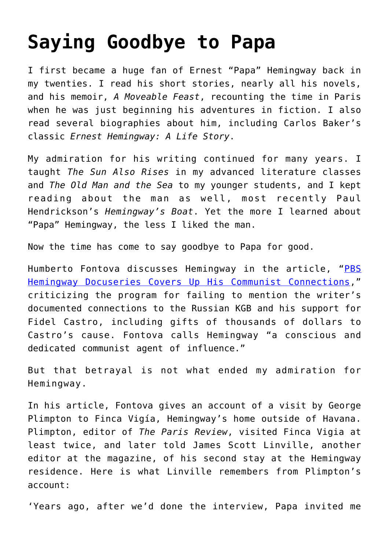## **[Saying Goodbye to Papa](https://intellectualtakeout.org/2021/04/saying-goodbye-to-papa/)**

I first became a huge fan of Ernest "Papa" Hemingway back in my twenties. I read his short stories, nearly all his novels, and his memoir, *A Moveable Feast*, recounting the time in Paris when he was just beginning his adventures in fiction. I also read several biographies about him, including Carlos Baker's classic *Ernest Hemingway: A Life Story*.

My admiration for his writing continued for many years. I taught *The Sun Also Rises* in my advanced literature classes and *The Old Man and the Sea* to my younger students, and I kept reading about the man as well, most recently Paul Hendrickson's *Hemingway's Boat*. Yet the more I learned about "Papa" Hemingway, the less I liked the man.

Now the time has come to say goodbye to Papa for good.

Humberto Fontova discusses Hemingway in the article, "[PBS](https://www.frontpagemag.com/fpm/2021/04/pbs-hemingway-docuseries-covers-his-communist-humberto-fontova/) [Hemingway Docuseries Covers Up His Communist Connections](https://www.frontpagemag.com/fpm/2021/04/pbs-hemingway-docuseries-covers-his-communist-humberto-fontova/)," criticizing the program for failing to mention the writer's documented connections to the Russian KGB and his support for Fidel Castro, including gifts of thousands of dollars to Castro's cause. Fontova calls Hemingway "a conscious and dedicated communist agent of influence."

But that betrayal is not what ended my admiration for Hemingway.

In his article, Fontova gives an account of a visit by George Plimpton to Finca Vigía, Hemingway's home outside of Havana. Plimpton, editor of *The Paris Review*, visited Finca Vigia at least twice, and later told James Scott Linville, another editor at the magazine, of his second stay at the Hemingway residence. Here is what Linville remembers from Plimpton's account:

'Years ago, after we'd done the interview, Papa invited me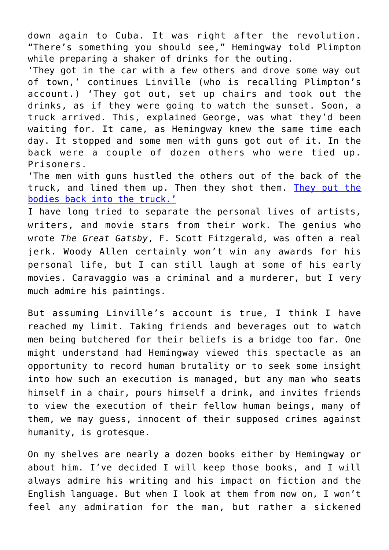down again to Cuba. It was right after the revolution. "There's something you should see," Hemingway told Plimpton while preparing a shaker of drinks for the outing.

'They got in the car with a few others and drove some way out of town,' continues Linville (who is recalling Plimpton's account.) 'They got out, set up chairs and took out the drinks, as if they were going to watch the sunset. Soon, a truck arrived. This, explained George, was what they'd been waiting for. It came, as Hemingway knew the same time each day. It stopped and some men with guns got out of it. In the back were a couple of dozen others who were tied up. Prisoners.

'The men with guns hustled the others out of the back of the truck, and lined them up. Then they shot them. [They put the](https://www.amazon.com/Longest-Romance-Mainstream-Media-Castro/dp/1594036675/ref=sr_1_1?s=books&ie=UTF8&qid=1376276049&sr=1-1&keywords=the+longest+romance+humberto+fontova) [bodies back into the truck.'](https://www.amazon.com/Longest-Romance-Mainstream-Media-Castro/dp/1594036675/ref=sr_1_1?s=books&ie=UTF8&qid=1376276049&sr=1-1&keywords=the+longest+romance+humberto+fontova)

I have long tried to separate the personal lives of artists, writers, and movie stars from their work. The genius who wrote *The Great Gatsby*, F. Scott Fitzgerald, was often a real jerk. Woody Allen certainly won't win any awards for his personal life, but I can still laugh at some of his early movies. Caravaggio was a criminal and a murderer, but I very much admire his paintings.

But assuming Linville's account is true, I think I have reached my limit. Taking friends and beverages out to watch men being butchered for their beliefs is a bridge too far. One might understand had Hemingway viewed this spectacle as an opportunity to record human brutality or to seek some insight into how such an execution is managed, but any man who seats himself in a chair, pours himself a drink, and invites friends to view the execution of their fellow human beings, many of them, we may guess, innocent of their supposed crimes against humanity, is grotesque.

On my shelves are nearly a dozen books either by Hemingway or about him. I've decided I will keep those books, and I will always admire his writing and his impact on fiction and the English language. But when I look at them from now on, I won't feel any admiration for the man, but rather a sickened